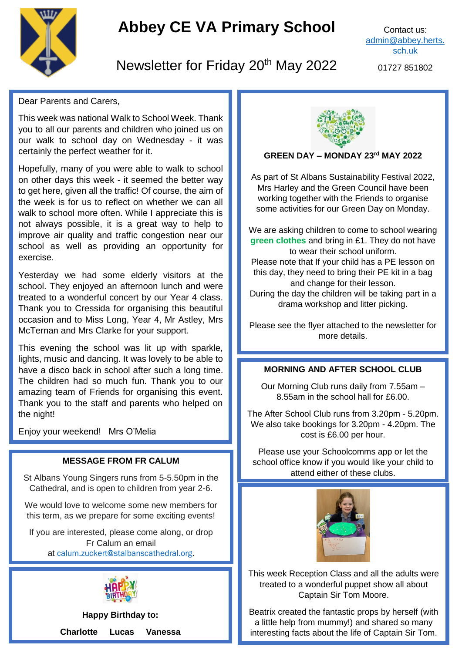

# **Abbey CE VA Primary School**

Contact us: [admin@abbey.herts.](mailto:admin@abbey.herts.sch.uk) [sch.uk](mailto:admin@abbey.herts.sch.uk)

## Newsletter for Friday 20<sup>th</sup> May 2022

01727 851802

Dear Parents and Carers,

This week was national Walk to School Week. Thank you to all our parents and children who joined us on our walk to school day on Wednesday - it was certainly the perfect weather for it.

Hopefully, many of you were able to walk to school on other days this week - it seemed the better way to get here, given all the traffic! Of course, the aim of the week is for us to reflect on whether we can all walk to school more often. While I appreciate this is not always possible, it is a great way to help to improve air quality and traffic congestion near our school as well as providing an opportunity for exercise.

Yesterday we had some elderly visitors at the school. They enjoyed an afternoon lunch and were treated to a wonderful concert by our Year 4 class. Thank you to Cressida for organising this beautiful occasion and to Miss Long, Year 4, Mr Astley, Mrs McTernan and Mrs Clarke for your support.

 The children had so much fun. Thank you to our This evening the school was lit up with sparkle, lights, music and dancing. It was lovely to be able to have a disco back in school after such a long time. amazing team of Friends for organising this event. Thank you to the staff and parents who helped on the night!

Enjoy your weekend! Mrs O'Melia

#### **MESSAGE FROM FR CALUM**

St Albans Young Singers runs from 5-5.50pm in the Cathedral, and is open to children from year 2-6.

We would love to welcome some new members for this term, as we prepare for some exciting events!

If you are interested, please come along, or drop Fr Calum an email at [calum.zuckert@stalbanscathedral.org.](mailto:calum.zuckert@stalbanscathedral.org)



**Happy Birthday to:**

**Charlotte Lucas Vanessa**



#### **GREEN DAY – MONDAY 23rd MAY 2022**

As part of St Albans Sustainability Festival 2022, Mrs Harley and the Green Council have been working together with the Friends to organise some activities for our Green Day on Monday.

We are asking children to come to school wearing **green clothes** and bring in £1. They do not have to wear their school uniform. Please note that If your child has a PE lesson on this day, they need to bring their PE kit in a bag and change for their lesson. During the day the children will be taking part in a drama workshop and litter picking.

Please see the flyer attached to the newsletter for more details.

#### **MORNING AND AFTER SCHOOL CLUB**

Our Morning Club runs daily from 7.55am – 8.55am in the school hall for £6.00.

The After School Club runs from 3.20pm - 5.20pm. We also take bookings for 3.20pm - 4.20pm. The cost is £6.00 per hour.

Please use your Schoolcomms app or let the school office know if you would like your child to attend either of these clubs.



This week Reception Class and all the adults were treated to a wonderful puppet show all about Captain Sir Tom Moore.

Beatrix created the fantastic props by herself (with a little help from mummy!) and shared so many interesting facts about the life of Captain Sir Tom.